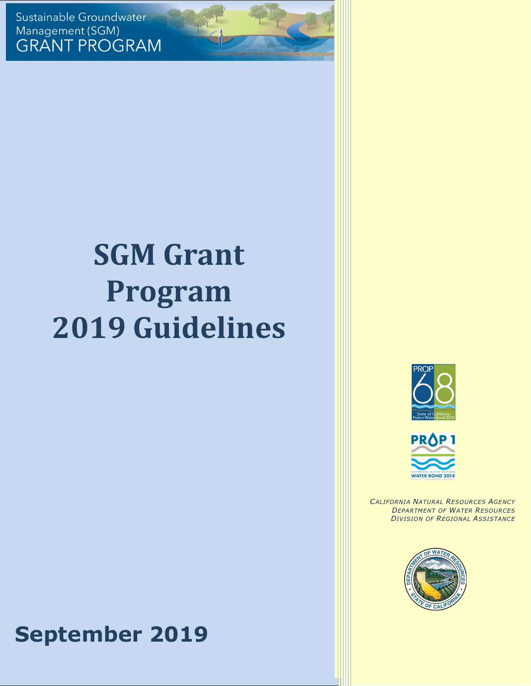Sustainable Groundwater Management (SGM)<br>GRANT PROGRAM

# **SGM Grant Program 2019 Guidelines**

# **September 2019**

March 2019 0





*CALIFORNIA NATURAL RESOURCES AGENCY DEPARTMENT OF WATER RESOURCES DIVISION OF REGIONAL ASSISTANCE*

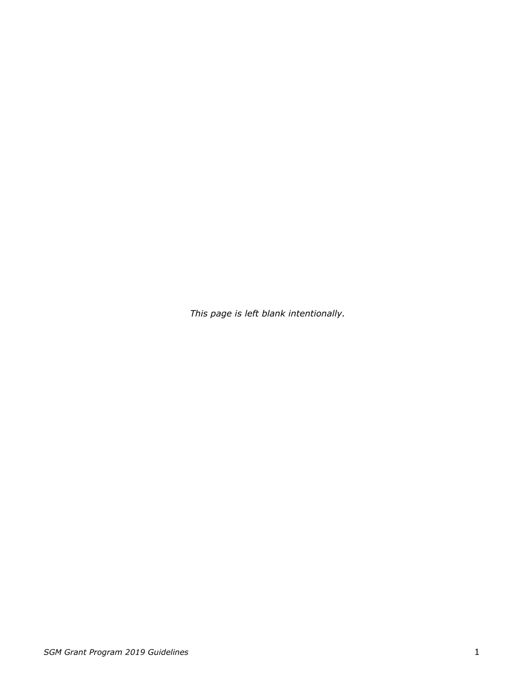*This page is left blank intentionally.*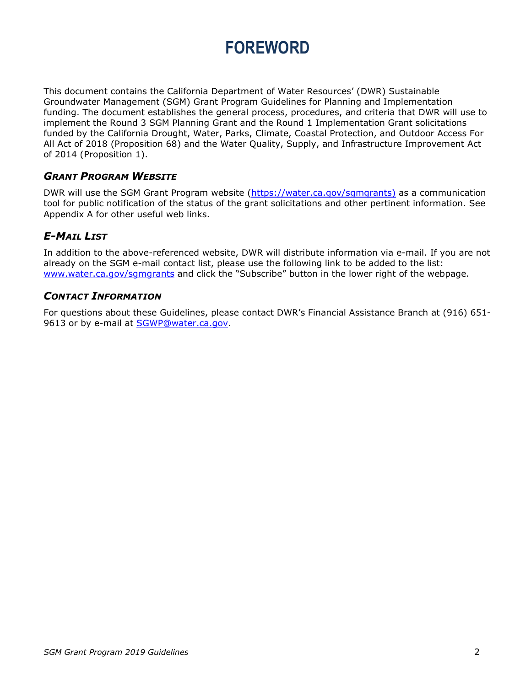# **FOREWORD**

This document contains the California Department of Water Resources' (DWR) Sustainable Groundwater Management (SGM) Grant Program Guidelines for Planning and Implementation funding. The document establishes the general process, procedures, and criteria that DWR will use to implement the Round 3 SGM Planning Grant and the Round 1 Implementation Grant solicitations funded by the California Drought, Water, Parks, Climate, Coastal Protection, and Outdoor Access For All Act of 2018 (Proposition 68) and the Water Quality, Supply, and Infrastructure Improvement Act of 2014 (Proposition 1).

#### *GRANT PROGRAM WEBSITE*

DWR will use the SGM Grant Program website [\(https://water.ca.gov/sgmgrants\)](https://water.ca.gov/sgmgrants) as a communication tool for public notification of the status of the grant solicitations and other pertinent information. See Appendix A for other useful web links.

#### *E-MAIL LIST*

In addition to the above-referenced website, DWR will distribute information via e-mail. If you are not already on the SGM e-mail contact list, please use the following link to be added to the list: [www.water.ca.gov/sgmgrants](https://water.ca.gov/Work-With-Us/Grants-And-Loans/Sustainable-Groundwater) and click the "Subscribe" button in the lower right of the webpage.

#### *CONTACT INFORMATION*

For questions about these Guidelines, please contact DWR's Financial Assistance Branch at (916) 651- 9613 or by e-mail at [SGWP@water.ca.gov.](mailto:SGWP@water.ca.gov)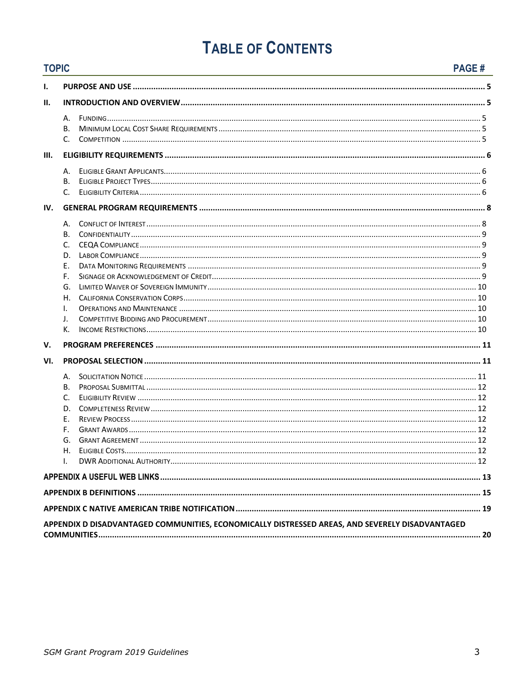# **TABLE OF CONTENTS**

|      | <b>PAGE#</b><br><b>TOPIC</b>                                                                    |  |
|------|-------------------------------------------------------------------------------------------------|--|
| ı.   |                                                                                                 |  |
| Н.   |                                                                                                 |  |
|      | А.<br>В.<br>C.                                                                                  |  |
| III. |                                                                                                 |  |
| IV.  | А.<br>В.<br>C.                                                                                  |  |
|      | А.                                                                                              |  |
|      | В.<br>C.<br>D.<br>Ε.<br>F.<br>G.<br>Η.<br>Τ.<br>J.<br>К.                                        |  |
| V.   |                                                                                                 |  |
| VI.  | А.<br>В.<br>C.<br>D.<br>Е.<br>F.<br>G.<br>$\mathbf{L}$                                          |  |
|      |                                                                                                 |  |
|      |                                                                                                 |  |
|      |                                                                                                 |  |
|      | APPENDIX D DISADVANTAGED COMMUNITIES, ECONOMICALLY DISTRESSED AREAS, AND SEVERELY DISADVANTAGED |  |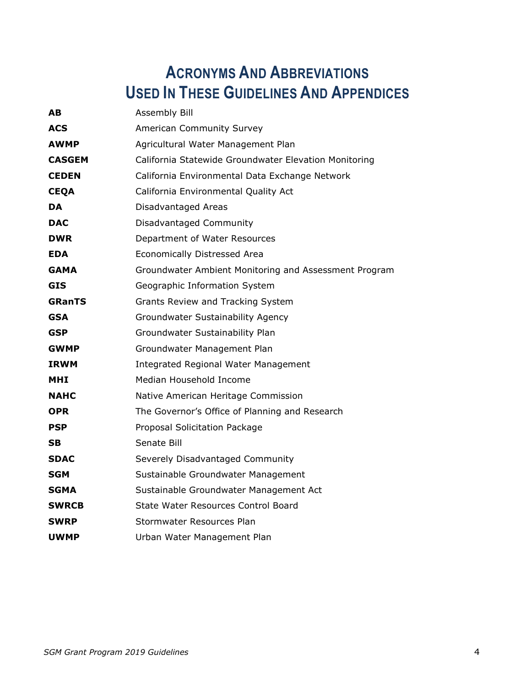# **ACRONYMS AND ABBREVIATIONS USED IN THESE GUIDELINES AND APPENDICES**

| AB            | Assembly Bill                                         |
|---------------|-------------------------------------------------------|
| <b>ACS</b>    | American Community Survey                             |
| <b>AWMP</b>   | Agricultural Water Management Plan                    |
| <b>CASGEM</b> | California Statewide Groundwater Elevation Monitoring |
| <b>CEDEN</b>  | California Environmental Data Exchange Network        |
| <b>CEQA</b>   | California Environmental Quality Act                  |
| <b>DA</b>     | Disadvantaged Areas                                   |
| <b>DAC</b>    | Disadvantaged Community                               |
| <b>DWR</b>    | Department of Water Resources                         |
| <b>EDA</b>    | <b>Economically Distressed Area</b>                   |
| <b>GAMA</b>   | Groundwater Ambient Monitoring and Assessment Program |
| GIS           | Geographic Information System                         |
| <b>GRanTS</b> | Grants Review and Tracking System                     |
| <b>GSA</b>    | Groundwater Sustainability Agency                     |
| GSP           | Groundwater Sustainability Plan                       |
| <b>GWMP</b>   | Groundwater Management Plan                           |
| <b>IRWM</b>   | <b>Integrated Regional Water Management</b>           |
| MHI           | Median Household Income                               |
| <b>NAHC</b>   | Native American Heritage Commission                   |
| <b>OPR</b>    | The Governor's Office of Planning and Research        |
| <b>PSP</b>    | Proposal Solicitation Package                         |
| SB.           | Senate Bill                                           |
| <b>SDAC</b>   | Severely Disadvantaged Community                      |
| SGM           | Sustainable Groundwater Management                    |
| <b>SGMA</b>   | Sustainable Groundwater Management Act                |
| <b>SWRCB</b>  | <b>State Water Resources Control Board</b>            |
| <b>SWRP</b>   | Stormwater Resources Plan                             |
| UWMP          | Urban Water Management Plan                           |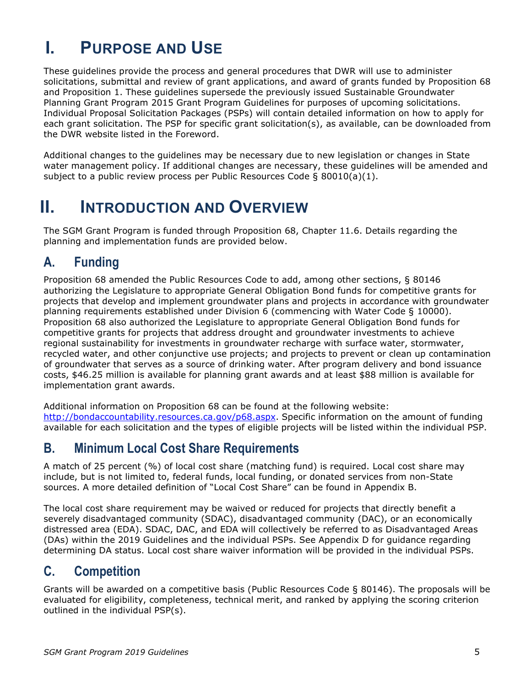# <span id="page-5-0"></span>**I. PURPOSE AND USE**

These guidelines provide the process and general procedures that DWR will use to administer solicitations, submittal and review of grant applications, and award of grants funded by Proposition 68 and Proposition 1. These guidelines supersede the previously issued Sustainable Groundwater Planning Grant Program 2015 Grant Program Guidelines for purposes of upcoming solicitations. Individual Proposal Solicitation Packages (PSPs) will contain detailed information on how to apply for each grant solicitation. The PSP for specific grant solicitation(s), as available, can be downloaded from the DWR website listed in the Foreword.

Additional changes to the guidelines may be necessary due to new legislation or changes in State water management policy. If additional changes are necessary, these guidelines will be amended and subject to a public review process per Public Resources Code  $\S 80010(a)(1)$ .

# <span id="page-5-1"></span>**II. INTRODUCTION AND OVERVIEW**

The SGM Grant Program is funded through Proposition 68, Chapter 11.6. Details regarding the planning and implementation funds are provided below.

# <span id="page-5-2"></span>**A. Funding**

Proposition 68 amended the Public Resources Code to add, among other sections, § 80146 authorizing the Legislature to appropriate General Obligation Bond funds for competitive grants for projects that develop and implement groundwater plans and projects in accordance with groundwater planning requirements established under Division 6 (commencing with Water Code § 10000). Proposition 68 also authorized the Legislature to appropriate General Obligation Bond funds for competitive grants for projects that address drought and groundwater investments to achieve regional sustainability for investments in groundwater recharge with surface water, stormwater, recycled water, and other conjunctive use projects; and projects to prevent or clean up contamination of groundwater that serves as a source of drinking water. After program delivery and bond issuance costs, \$46.25 million is available for planning grant awards and at least \$88 million is available for implementation grant awards.

Additional information on Proposition 68 can be found at the following website: [http://bondaccountability.resources.ca.gov/p68.aspx.](http://bondaccountability.resources.ca.gov/p68.aspx) Specific information on the amount of funding available for each solicitation and the types of eligible projects will be listed within the individual PSP.

# <span id="page-5-3"></span>**B. Minimum Local Cost Share Requirements**

A match of 25 percent (%) of local cost share (matching fund) is required. Local cost share may include, but is not limited to, federal funds, local funding, or donated services from non-State sources. A more detailed definition of "Local Cost Share" can be found in Appendix B.

The local cost share requirement may be waived or reduced for projects that directly benefit a severely disadvantaged community (SDAC), disadvantaged community (DAC), or an economically distressed area (EDA). SDAC, DAC, and EDA will collectively be referred to as Disadvantaged Areas (DAs) within the 2019 Guidelines and the individual PSPs. See Appendix D for guidance regarding determining DA status. Local cost share waiver information will be provided in the individual PSPs.

# <span id="page-5-4"></span>**C. Competition**

Grants will be awarded on a competitive basis (Public Resources Code § 80146). The proposals will be evaluated for eligibility, completeness, technical merit, and ranked by applying the scoring criterion outlined in the individual PSP(s).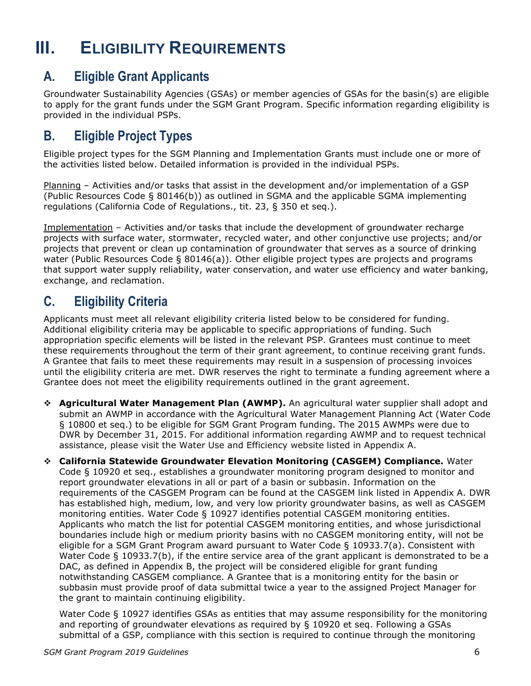# <span id="page-6-0"></span>**III. ELIGIBILITY REQUIREMENTS**

# <span id="page-6-1"></span>**A. Eligible Grant Applicants**

Groundwater Sustainability Agencies (GSAs) or member agencies of GSAs for the basin(s) are eligible to apply for the grant funds under the SGM Grant Program. Specific information regarding eligibility is provided in the individual PSPs.

# <span id="page-6-2"></span>**B. Eligible Project Types**

Eligible project types for the SGM Planning and Implementation Grants must include one or more of the activities listed below. Detailed information is provided in the individual PSPs.

Planning - Activities and/or tasks that assist in the development and/or implementation of a GSP (Public Resources Code § 80146(b)) as outlined in SGMA and the applicable SGMA implementing regulations (California Code of Regulations., tit. 23, § 350 et seq.).

Implementation – Activities and/or tasks that include the development of groundwater recharge projects with surface water, stormwater, recycled water, and other conjunctive use projects; and/or projects that prevent or clean up contamination of groundwater that serves as a source of drinking water (Public Resources Code § 80146(a)). Other eligible project types are projects and programs that support water supply reliability, water conservation, and water use efficiency and water banking, exchange, and reclamation.

# <span id="page-6-3"></span>**C. Eligibility Criteria**

Applicants must meet all relevant eligibility criteria listed below to be considered for funding. Additional eligibility criteria may be applicable to specific appropriations of funding. Such appropriation specific elements will be listed in the relevant PSP. Grantees must continue to meet these requirements throughout the term of their grant agreement, to continue receiving grant funds. A Grantee that fails to meet these requirements may result in a suspension of processing invoices until the eligibility criteria are met. DWR reserves the right to terminate a funding agreement where a Grantee does not meet the eligibility requirements outlined in the grant agreement.

- **Agricultural Water Management Plan (AWMP).** An agricultural water supplier shall adopt and submit an AWMP in accordance with the Agricultural Water Management Planning Act (Water Code § 10800 et seq.) to be eligible for SGM Grant Program funding. The 2015 AWMPs were due to DWR by December 31, 2015. For additional information regarding AWMP and to request technical assistance, please visit the Water Use and Efficiency website listed in Appendix A.
- **California Statewide Groundwater Elevation Monitoring (CASGEM) Compliance.** Water Code § 10920 et seq., establishes a groundwater monitoring program designed to monitor and report groundwater elevations in all or part of a basin or subbasin. Information on the requirements of the CASGEM Program can be found at the CASGEM link listed in Appendix A. DWR has established high, medium, low, and very low priority groundwater basins, as well as CASGEM monitoring entities. Water Code § 10927 identifies potential CASGEM monitoring entities. Applicants who match the list for potential CASGEM monitoring entities, and whose jurisdictional boundaries include high or medium priority basins with no CASGEM monitoring entity, will not be eligible for a SGM Grant Program award pursuant to Water Code § 10933.7(a). Consistent with Water Code § 10933.7(b), if the entire service area of the grant applicant is demonstrated to be a DAC, as defined in Appendix B, the project will be considered eligible for grant funding notwithstanding CASGEM compliance. A Grantee that is a monitoring entity for the basin or subbasin must provide proof of data submittal twice a year to the assigned Project Manager for the grant to maintain continuing eligibility.

Water Code § 10927 identifies GSAs as entities that may assume responsibility for the monitoring and reporting of groundwater elevations as required by § 10920 et seq. Following a GSAs submittal of a GSP, compliance with this section is required to continue through the monitoring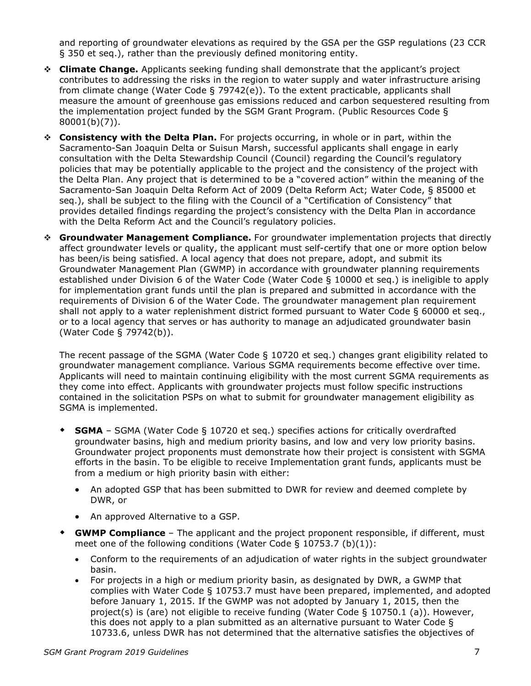and reporting of groundwater elevations as required by the GSA per the GSP regulations (23 CCR § 350 et seq.), rather than the previously defined monitoring entity.

- **Climate Change.** Applicants seeking funding shall demonstrate that the applicant's project contributes to addressing the risks in the region to water supply and water infrastructure arising from climate change (Water Code § 79742(e)). To the extent practicable, applicants shall measure the amount of greenhouse gas emissions reduced and carbon sequestered resulting from the implementation project funded by the SGM Grant Program. (Public Resources Code § 80001(b)(7)).
- **Consistency with the Delta Plan.** For projects occurring, in whole or in part, within the Sacramento-San Joaquin Delta or Suisun Marsh, successful applicants shall engage in early consultation with the Delta Stewardship Council (Council) regarding the Council's regulatory policies that may be potentially applicable to the project and the consistency of the project with the Delta Plan. Any project that is determined to be a "covered action" within the meaning of the Sacramento-San Joaquin Delta Reform Act of 2009 (Delta Reform Act; Water Code, § 85000 et seq.), shall be subject to the filing with the Council of a "Certification of Consistency" that provides detailed findings regarding the project's consistency with the Delta Plan in accordance with the Delta Reform Act and the Council's regulatory policies.
- **Groundwater Management Compliance.** For groundwater implementation projects that directly affect groundwater levels or quality, the applicant must self-certify that one or more option below has been/is being satisfied. A local agency that does not prepare, adopt, and submit its Groundwater Management Plan (GWMP) in accordance with groundwater planning requirements established under Division 6 of the Water Code (Water Code § 10000 et seq.) is ineligible to apply for implementation grant funds until the plan is prepared and submitted in accordance with the requirements of Division 6 of the Water Code. The groundwater management plan requirement shall not apply to a water replenishment district formed pursuant to Water Code § 60000 et seq., or to a local agency that serves or has authority to manage an adjudicated groundwater basin (Water Code § 79742(b)).

The recent passage of the SGMA (Water Code § 10720 et seq.) changes grant eligibility related to groundwater management compliance. Various SGMA requirements become effective over time. Applicants will need to maintain continuing eligibility with the most current SGMA requirements as they come into effect. Applicants with groundwater projects must follow specific instructions contained in the solicitation PSPs on what to submit for groundwater management eligibility as SGMA is implemented.

- **SGMA** SGMA (Water Code § 10720 et seq.) specifies actions for critically overdrafted groundwater basins, high and medium priority basins, and low and very low priority basins. Groundwater project proponents must demonstrate how their project is consistent with SGMA efforts in the basin. To be eligible to receive Implementation grant funds, applicants must be from a medium or high priority basin with either:
	- An adopted GSP that has been submitted to DWR for review and deemed complete by DWR, or
	- An approved Alternative to a GSP.
- **GWMP Compliance** The applicant and the project proponent responsible, if different, must meet one of the following conditions (Water Code § 10753.7 (b)(1)):
	- Conform to the requirements of an adjudication of water rights in the subject groundwater basin.
	- For projects in a high or medium priority basin, as designated by DWR, a GWMP that complies with Water Code § 10753.7 must have been prepared, implemented, and adopted before January 1, 2015. If the GWMP was not adopted by January 1, 2015, then the project(s) is (are) not eligible to receive funding (Water Code § 10750.1 (a)). However, this does not apply to a plan submitted as an alternative pursuant to Water Code § 10733.6, unless DWR has not determined that the alternative satisfies the objectives of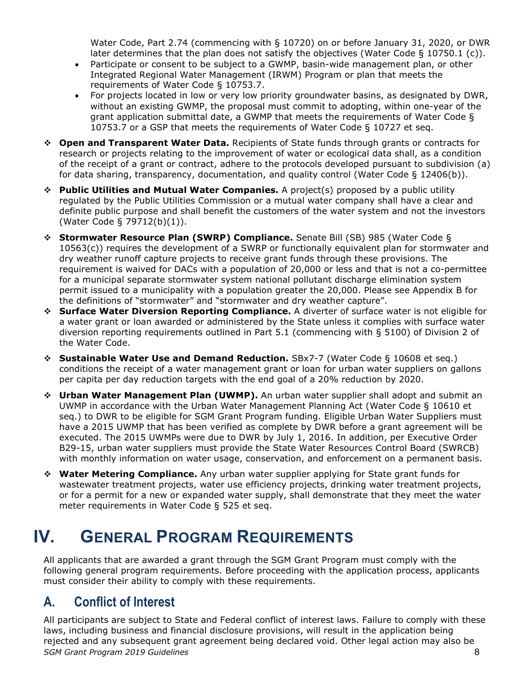Water Code, Part 2.74 (commencing with § 10720) on or before January 31, 2020, or DWR later determines that the plan does not satisfy the objectives (Water Code  $\S$  10750.1 (c)).

- Participate or consent to be subject to a GWMP, basin-wide management plan, or other Integrated Regional Water Management (IRWM) Program or plan that meets the requirements of Water Code § 10753.7.
- For projects located in low or very low priority groundwater basins, as designated by DWR, without an existing GWMP, the proposal must commit to adopting, within one-year of the grant application submittal date, a GWMP that meets the requirements of Water Code § 10753.7 or a GSP that meets the requirements of Water Code § 10727 et seq.
- **Open and Transparent Water Data.** Recipients of State funds through grants or contracts for research or projects relating to the improvement of water or ecological data shall, as a condition of the receipt of a grant or contract, adhere to the protocols developed pursuant to subdivision (a) for data sharing, transparency, documentation, and quality control (Water Code § 12406(b)).
- **Public Utilities and Mutual Water Companies.** A project(s) proposed by a public utility regulated by the Public Utilities Commission or a mutual water company shall have a clear and definite public purpose and shall benefit the customers of the water system and not the investors (Water Code § 79712(b)(1)).
- **Stormwater Resource Plan (SWRP) Compliance.** Senate Bill (SB) 985 (Water Code § 10563(c)) requires the development of a SWRP or functionally equivalent plan for stormwater and dry weather runoff capture projects to receive grant funds through these provisions. The requirement is waived for DACs with a population of 20,000 or less and that is not a co-permittee for a municipal separate stormwater system national pollutant discharge elimination system permit issued to a municipality with a population greater the 20,000. Please see Appendix B for the definitions of "stormwater" and "stormwater and dry weather capture".
- **Surface Water Diversion Reporting Compliance.** A diverter of surface water is not eligible for a water grant or loan awarded or administered by the State unless it complies with surface water diversion reporting requirements outlined in Part 5.1 (commencing with § 5100) of Division 2 of the Water Code.
- **Sustainable Water Use and Demand Reduction.** SBx7-7 (Water Code § 10608 et seq.) conditions the receipt of a water management grant or loan for urban water suppliers on gallons per capita per day reduction targets with the end goal of a 20% reduction by 2020.
- **Urban Water Management Plan (UWMP).** An urban water supplier shall adopt and submit an UWMP in accordance with the Urban Water Management Planning Act (Water Code § 10610 et seq.) to DWR to be eligible for SGM Grant Program funding. Eligible Urban Water Suppliers must have a 2015 UWMP that has been verified as complete by DWR before a grant agreement will be executed. The 2015 UWMPs were due to DWR by July 1, 2016. In addition, per Executive Order B29-15, urban water suppliers must provide the State Water Resources Control Board (SWRCB) with monthly information on water usage, conservation, and enforcement on a permanent basis.
- **Water Metering Compliance.** Any urban water supplier applying for State grant funds for wastewater treatment projects, water use efficiency projects, drinking water treatment projects, or for a permit for a new or expanded water supply, shall demonstrate that they meet the water meter requirements in Water Code § 525 et seq.

# <span id="page-8-0"></span>**IV. GENERAL PROGRAM REQUIREMENTS**

All applicants that are awarded a grant through the SGM Grant Program must comply with the following general program requirements. Before proceeding with the application process, applicants must consider their ability to comply with these requirements.

# <span id="page-8-1"></span>**A. Conflict of Interest**

*SGM Grant Program 2019 Guidelines* 8 All participants are subject to State and Federal conflict of interest laws. Failure to comply with these laws, including business and financial disclosure provisions, will result in the application being rejected and any subsequent grant agreement being declared void. Other legal action may also be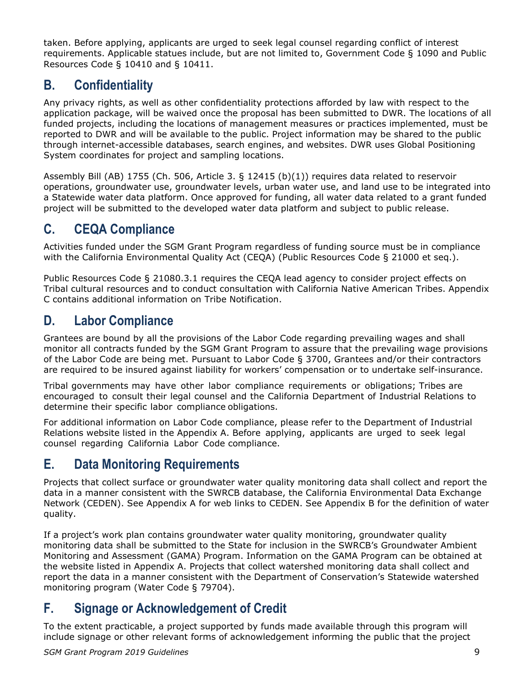taken. Before applying, applicants are urged to seek legal counsel regarding conflict of interest requirements. Applicable statues include, but are not limited to, Government Code § 1090 and Public Resources Code § 10410 and § 10411.

# <span id="page-9-0"></span>**B. Confidentiality**

Any privacy rights, as well as other confidentiality protections afforded by law with respect to the application package, will be waived once the proposal has been submitted to DWR. The locations of all funded projects, including the locations of management measures or practices implemented, must be reported to DWR and will be available to the public. Project information may be shared to the public through internet-accessible databases, search engines, and websites. DWR uses Global Positioning System coordinates for project and sampling locations.

Assembly Bill (AB) 1755 (Ch. 506, Article 3. § 12415 (b)(1)) requires data related to reservoir operations, groundwater use, groundwater levels, urban water use, and land use to be integrated into a Statewide water data platform. Once approved for funding, all water data related to a grant funded project will be submitted to the developed water data platform and subject to public release.

# <span id="page-9-1"></span>**C. CEQA Compliance**

Activities funded under the SGM Grant Program regardless of funding source must be in compliance with the California Environmental Quality Act (CEQA) (Public Resources Code § 21000 et seq.).

Public Resources Code § 21080.3.1 requires the CEQA lead agency to consider project effects on Tribal cultural resources and to conduct consultation with California Native American Tribes. [Appendix](#page-18-0)  C contains additional information on Tribe Notification.

# <span id="page-9-2"></span>**D. Labor Compliance**

Grantees are bound by all the provisions of the Labor Code regarding prevailing wages and shall monitor all contracts funded by the SGM Grant Program to assure that the prevailing wage provisions of the Labor Code are being met. Pursuant to Labor Code § 3700, Grantees and/or their contractors are required to be insured against liability for workers' compensation or to undertake self-insurance.

Tribal governments may have other labor compliance requirements or obligations; Tribes are encouraged to consult their legal counsel and the California Department of Industrial Relations to determine their specific labor compliance obligations.

For additional information on Labor Code compliance, please refer to the Department of Industrial Relations website listed in the Appendix A. Before applying, applicants are urged to seek legal counsel regarding California Labor Code compliance.

# <span id="page-9-3"></span>**E. Data Monitoring Requirements**

Projects that collect surface or groundwater water quality monitoring data shall collect and report the data in a manner consistent with the SWRCB database, the California Environmental Data Exchange Network (CEDEN). See [Appendix A](#page-12-8) for web links to CEDEN. See Appendix B for the definition of water quality.

If a project's work plan contains groundwater water quality monitoring, groundwater quality monitoring data shall be submitted to the State for inclusion in the SWRCB's Groundwater Ambient Monitoring and Assessment (GAMA) Program. Information on the GAMA Program can be obtained at the website listed in Appendix A. Projects that collect watershed monitoring data shall collect and report the data in a manner consistent with the Department of Conservation's Statewide watershed monitoring program (Water Code § 79704).

# <span id="page-9-4"></span>**F. Signage or Acknowledgement of Credit**

To the extent practicable, a project supported by funds made available through this program will include signage or other relevant forms of acknowledgement informing the public that the project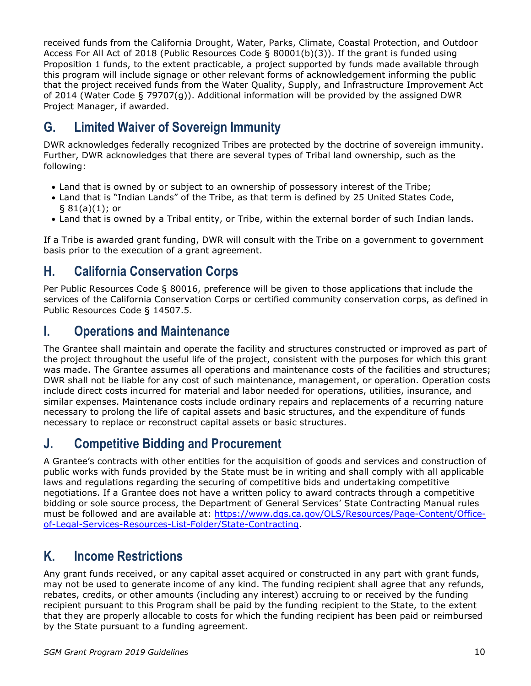received funds from the California Drought, Water, Parks, Climate, Coastal Protection, and Outdoor Access For All Act of 2018 (Public Resources Code § 80001(b)(3)). If the grant is funded using Proposition 1 funds, to the extent practicable, a project supported by funds made available through this program will include signage or other relevant forms of acknowledgement informing the public that the project received funds from the Water Quality, Supply, and Infrastructure Improvement Act of 2014 (Water Code § 79707(g)). Additional information will be provided by the assigned DWR Project Manager, if awarded.

# <span id="page-10-0"></span>**G. Limited Waiver of Sovereign Immunity**

DWR acknowledges federally recognized Tribes are protected by the doctrine of sovereign immunity. Further, DWR acknowledges that there are several types of Tribal land ownership, such as the following:

- Land that is owned by or subject to an ownership of possessory interest of the Tribe;
- Land that is "Indian Lands" of the Tribe, as that term is defined by 25 United States Code,  $$81(a)(1);$  or
- Land that is owned by a Tribal entity, or Tribe, within the external border of such Indian lands.

If a Tribe is awarded grant funding, DWR will consult with the Tribe on a government to government basis prior to the execution of a grant agreement.

# <span id="page-10-1"></span>**H. California Conservation Corps**

Per Public Resources Code § 80016, preference will be given to those applications that include the services of the California Conservation Corps or certified community conservation corps, as defined in Public Resources Code § 14507.5.

### <span id="page-10-2"></span>**I. Operations and Maintenance**

The Grantee shall maintain and operate the facility and structures constructed or improved as part of the project throughout the useful life of the project, consistent with the purposes for which this grant was made. The Grantee assumes all operations and maintenance costs of the facilities and structures; DWR shall not be liable for any cost of such maintenance, management, or operation. Operation costs include direct costs incurred for material and labor needed for operations, utilities, insurance, and similar expenses. Maintenance costs include ordinary repairs and replacements of a recurring nature necessary to prolong the life of capital assets and basic structures, and the expenditure of funds necessary to replace or reconstruct capital assets or basic structures.

### <span id="page-10-3"></span>**J. Competitive Bidding and Procurement**

A Grantee's contracts with other entities for the acquisition of goods and services and construction of public works with funds provided by the State must be in writing and shall comply with all applicable laws and regulations regarding the securing of competitive bids and undertaking competitive negotiations. If a Grantee does not have a written policy to award contracts through a competitive bidding or sole source process, the Department of General Services' State Contracting Manual rules must be followed and are available at: [https://www.dgs.ca.gov/OLS/Resources/Page-Content/Office](https://www.dgs.ca.gov/OLS/Resources/Page-Content/Office-of-Legal-Services-Resources-List-Folder/State-Contracting)[of-Legal-Services-Resources-List-Folder/State-Contracting.](https://www.dgs.ca.gov/OLS/Resources/Page-Content/Office-of-Legal-Services-Resources-List-Folder/State-Contracting)

# <span id="page-10-4"></span>**K. Income Restrictions**

Any grant funds received, or any capital asset acquired or constructed in any part with grant funds, may not be used to generate income of any kind. The funding recipient shall agree that any refunds, rebates, credits, or other amounts (including any interest) accruing to or received by the funding recipient pursuant to this Program shall be paid by the funding recipient to the State, to the extent that they are properly allocable to costs for which the funding recipient has been paid or reimbursed by the State pursuant to a funding agreement.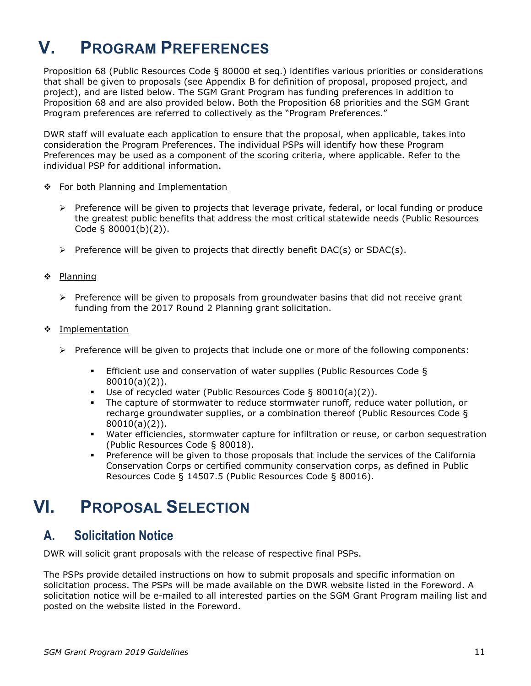# <span id="page-11-0"></span>**V. PROGRAM PREFERENCES**

Proposition 68 (Public Resources Code § 80000 et seq.) identifies various priorities or considerations that shall be given to proposals (see Appendix B for definition of proposal, proposed project, and project), and are listed below. The SGM Grant Program has funding preferences in addition to Proposition 68 and are also provided below. Both the Proposition 68 priorities and the SGM Grant Program preferences are referred to collectively as the "Program Preferences."

DWR staff will evaluate each application to ensure that the proposal, when applicable, takes into consideration the Program Preferences. The individual PSPs will identify how these Program Preferences may be used as a component of the scoring criteria, where applicable. Refer to the individual PSP for additional information.

- ❖ For both Planning and Implementation
	- $\triangleright$  Preference will be given to projects that leverage private, federal, or local funding or produce the greatest public benefits that address the most critical statewide needs (Public Resources Code § 80001(b)(2)).
	- $\triangleright$  Preference will be given to projects that directly benefit DAC(s) or SDAC(s).

#### ❖ Planning

- $\triangleright$  Preference will be given to proposals from groundwater basins that did not receive grant funding from the 2017 Round 2 Planning grant solicitation.
- ❖ Implementation
	- $\triangleright$  Preference will be given to projects that include one or more of the following components:
		- Efficient use and conservation of water supplies (Public Resources Code § 80010(a)(2)).
		- Use of recycled water (Public Resources Code § 80010(a)(2)).
		- The capture of stormwater to reduce stormwater runoff, reduce water pollution, or recharge groundwater supplies, or a combination thereof (Public Resources Code § 80010(a)(2)).
		- Water efficiencies, stormwater capture for infiltration or reuse, or carbon sequestration (Public Resources Code § 80018).
		- **Preference will be given to those proposals that include the services of the California** Conservation Corps or certified community conservation corps, as defined in Public Resources Code § 14507.5 (Public Resources Code § 80016).

# <span id="page-11-1"></span>**VI. PROPOSAL SELECTION**

### <span id="page-11-2"></span>**A. Solicitation Notice**

DWR will solicit grant proposals with the release of respective final PSPs.

The PSPs provide detailed instructions on how to submit proposals and specific information on solicitation process. The PSPs will be made available on the DWR website listed in the Foreword. A solicitation notice will be e-mailed to all interested parties on the SGM Grant Program mailing list and posted on the website listed in the Foreword.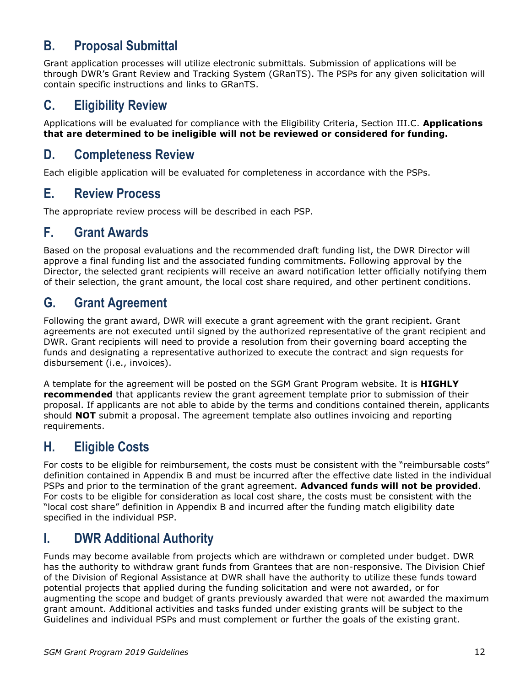# <span id="page-12-0"></span>**B. Proposal Submittal**

Grant application processes will utilize electronic submittals. Submission of applications will be through DWR's Grant Review and Tracking System (GRanTS). The PSPs for any given solicitation will contain specific instructions and links to GRanTS.

# <span id="page-12-1"></span>**C. Eligibility Review**

Applications will be evaluated for compliance with the Eligibility Criteria, Section III.C. **Applications that are determined to be ineligible will not be reviewed or considered for funding.**

### <span id="page-12-2"></span>**D. Completeness Review**

Each eligible application will be evaluated for completeness in accordance with the PSPs.

### <span id="page-12-3"></span>**E. Review Process**

The appropriate review process will be described in each PSP.

### <span id="page-12-4"></span>**F. Grant Awards**

Based on the proposal evaluations and the recommended draft funding list, the DWR Director will approve a final funding list and the associated funding commitments. Following approval by the Director, the selected grant recipients will receive an award notification letter officially notifying them of their selection, the grant amount, the local cost share required, and other pertinent conditions.

# <span id="page-12-5"></span>**G. Grant Agreement**

Following the grant award, DWR will execute a grant agreement with the grant recipient. Grant agreements are not executed until signed by the authorized representative of the grant recipient and DWR. Grant recipients will need to provide a resolution from their governing board accepting the funds and designating a representative authorized to execute the contract and sign requests for disbursement (i.e., invoices).

A template for the agreement will be posted on the SGM Grant Program website. It is **HIGHLY recommended** that applicants review the grant agreement template prior to submission of their proposal. If applicants are not able to abide by the terms and conditions contained therein, applicants should **NOT** submit a proposal. The agreement template also outlines invoicing and reporting requirements.

# <span id="page-12-6"></span>**H. Eligible Costs**

For costs to be eligible for reimbursement, the costs must be consistent with the "reimbursable costs" definition contained in Appendix B and must be incurred after the effective date listed in the individual PSPs and prior to the termination of the grant agreement. **Advanced funds will not be provided**. For costs to be eligible for consideration as local cost share, the costs must be consistent with the "local cost share" definition in Appendix B and incurred after the funding match eligibility date specified in the individual PSP.

# <span id="page-12-7"></span>**I. DWR Additional Authority**

<span id="page-12-8"></span>Funds may become available from projects which are withdrawn or completed under budget. DWR has the authority to withdraw grant funds from Grantees that are non-responsive. The Division Chief of the Division of Regional Assistance at DWR shall have the authority to utilize these funds toward potential projects that applied during the funding solicitation and were not awarded, or for augmenting the scope and budget of grants previously awarded that were not awarded the maximum grant amount. Additional activities and tasks funded under existing grants will be subject to the Guidelines and individual PSPs and must complement or further the goals of the existing grant.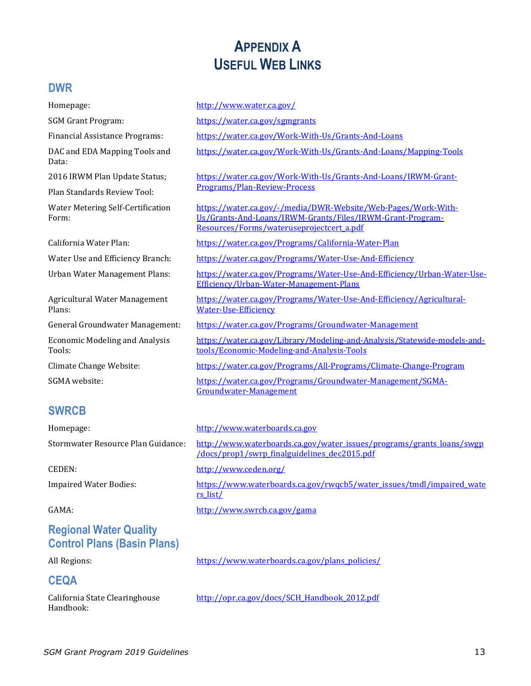# **APPENDIX A USEFUL WEB LINKS**

#### <span id="page-13-0"></span>**DWR**

DAC and EDA Mapping Tools and Data:

2016 IRWM Plan Update Status;

Plan Standards Review Tool:

Water Metering Self-Certification Form:

Agricultural Water Management Plans:

Economic Modeling and Analysis Tools:

### **SWRCB**

Homepage: [http://www.waterboards.ca.gov](http://www.waterboards.ca.gov/)

### **Regional Water Quality Control Plans (Basin Plans)**

#### **CEQA**

California State Clearinghouse Handbook:

Homepage: <http://www.water.ca.gov/>

SGM Grant Program: <https://water.ca.gov/sgmgrants>

Financial Assistance Programs: <https://water.ca.gov/Work-With-Us/Grants-And-Loans>

https://water.ca.gov/Work-With-Us/Grants-And-Loans/Mapping-Tools

[https://water.ca.gov/Work-With-Us/Grants-And-Loans/IRWM-Grant-](https://water.ca.gov/Work-With-Us/Grants-And-Loans/IRWM-Grant-Programs/Plan-Review-Process)[Programs/Plan-Review-Process](https://water.ca.gov/Work-With-Us/Grants-And-Loans/IRWM-Grant-Programs/Plan-Review-Process)

https://water.ca.gov/-/media/DWR-Website/Web-Pages/Work-With-Us/Grants-And-Loans/IRWM-Grants/Files/IRWM-Grant-Program-Resources/Forms/wateruseprojectcert\_a.pdf

California Water Plan: <https://water.ca.gov/Programs/California-Water-Plan>

Water Use and Efficiency Branch: <https://water.ca.gov/Programs/Water-Use-And-Efficiency>

Urban Water Management Plans: [https://water.ca.gov/Programs/Water-Use-And-Efficiency/Urban-Water-Use-](https://water.ca.gov/Programs/Water-Use-And-Efficiency/Urban-Water-Use-Efficiency/Urban-Water-Management-Plans)[Efficiency/Urban-Water-Management-Plans](https://water.ca.gov/Programs/Water-Use-And-Efficiency/Urban-Water-Use-Efficiency/Urban-Water-Management-Plans)

> [https://water.ca.gov/Programs/Water-Use-And-Efficiency/Agricultural-](https://water.ca.gov/Programs/Water-Use-And-Efficiency/Agricultural-Water-Use-Efficiency)[Water-Use-Efficiency](https://water.ca.gov/Programs/Water-Use-And-Efficiency/Agricultural-Water-Use-Efficiency)

General Groundwater Management: <https://water.ca.gov/Programs/Groundwater-Management>

[https://water.ca.gov/Library/Modeling-and-Analysis/Statewide-models-and](https://water.ca.gov/Library/Modeling-and-Analysis/Statewide-models-and-tools/Economic-Modeling-and-Analysis-Tools)[tools/Economic-Modeling-and-Analysis-Tools](https://water.ca.gov/Library/Modeling-and-Analysis/Statewide-models-and-tools/Economic-Modeling-and-Analysis-Tools)

Climate Change Website: <https://water.ca.gov/Programs/All-Programs/Climate-Change-Program>

SGMA website: [https://water.ca.gov/Programs/Groundwater-Management/SGMA-](https://water.ca.gov/Programs/Groundwater-Management/SGMA-Groundwater-Management)[Groundwater-Management](https://water.ca.gov/Programs/Groundwater-Management/SGMA-Groundwater-Management) 

Stormwater Resource Plan Guidance: [http://www.waterboards.ca.gov/water\\_issues/programs/grants\\_loans/swgp](http://www.waterboards.ca.gov/water_issues/programs/grants_loans/swgp/docs/prop1/swrp_finalguidelines_dec2015.pdf) [/docs/prop1/swrp\\_finalguidelines\\_dec2015.pdf](http://www.waterboards.ca.gov/water_issues/programs/grants_loans/swgp/docs/prop1/swrp_finalguidelines_dec2015.pdf)  CEDEN: <http://www.ceden.org/> Impaired Water Bodies: [https://www.waterboards.ca.gov/rwqcb5/water\\_issues/tmdl/impaired\\_wate](https://www.waterboards.ca.gov/rwqcb5/water_issues/tmdl/impaired_waters_list/)

GAMA: <http://www.swrcb.ca.gov/gama>

[rs\\_list/](https://www.waterboards.ca.gov/rwqcb5/water_issues/tmdl/impaired_waters_list/) 

All Regions: [https://www.waterboards.ca.gov/plans\\_policies/](https://www.waterboards.ca.gov/plans_policies/)

[http://opr.ca.gov/docs/SCH\\_Handbook\\_2012.pdf](http://opr.ca.gov/docs/SCH_Handbook_2012.pdf)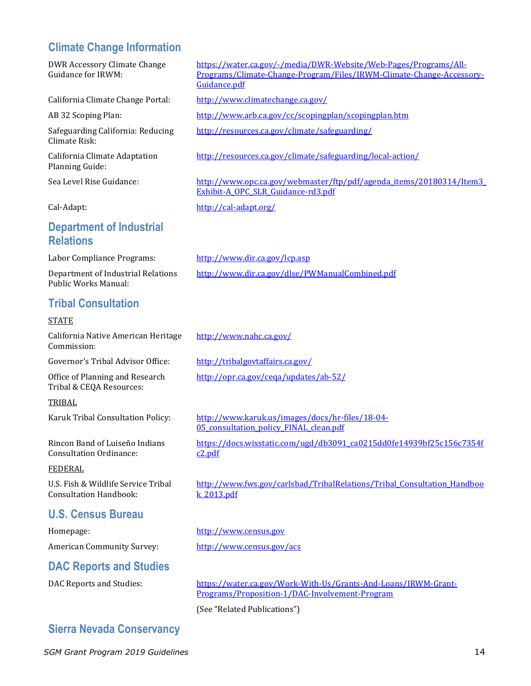# **Climate Change Information**

| <b>DWR Accessory Climate Change</b><br>Guidance for IRWM:            | https://water.ca.gov/-/media/DWR-Website/Web-Pages/Programs/All-<br>Programs/Climate-Change-Program/Files/IRWM-Climate-Change-Accessory-<br>Guidance.pdf |
|----------------------------------------------------------------------|----------------------------------------------------------------------------------------------------------------------------------------------------------|
| California Climate Change Portal:                                    | http://www.climatechange.ca.gov/                                                                                                                         |
| AB 32 Scoping Plan:                                                  | http://www.arb.ca.gov/cc/scopingplan/scopingplan.htm                                                                                                     |
| Safeguarding California: Reducing<br>Climate Risk:                   | http://resources.ca.gov/climate/safeguarding/                                                                                                            |
| California Climate Adaptation<br>Planning Guide:                     | http://resources.ca.gov/climate/safeguarding/local-action/                                                                                               |
| Sea Level Rise Guidance:                                             | http://www.opc.ca.gov/webmaster/ftp/pdf/agenda_items/20180314/Item3<br>Exhibit-A OPC SLR Guidance-rd3.pdf                                                |
| Cal-Adapt:                                                           | http://cal-adapt.org/                                                                                                                                    |
| <b>Department of Industrial</b><br><b>Relations</b>                  |                                                                                                                                                          |
| Labor Compliance Programs:                                           | http://www.dir.ca.gov/lcp.asp                                                                                                                            |
| Department of Industrial Relations<br>Public Works Manual:           | http://www.dir.ca.gov/dlse/PWManualCombined.pdf                                                                                                          |
| <b>Tribal Consultation</b>                                           |                                                                                                                                                          |
| <b>STATE</b>                                                         |                                                                                                                                                          |
| California Native American Heritage<br>Commission:                   | http://www.nahc.ca.gov/                                                                                                                                  |
| Governor's Tribal Advisor Office:                                    | http://tribalgovtaffairs.ca.gov/                                                                                                                         |
| Office of Planning and Research<br>Tribal & CEQA Resources:          | http://opr.ca.gov/cega/updates/ab-52/                                                                                                                    |
| TRIBAL                                                               |                                                                                                                                                          |
| Karuk Tribal Consultation Policy:                                    | http://www.karuk.us/images/docs/hr-files/18-04-<br>05 consultation policy FINAL clean.pdf                                                                |
| Rincon Band of Luiseño Indians<br><b>Consultation Ordinance:</b>     | https://docs.wixstatic.com/ugd/db3091_ca0215dd0fe14939bf25c156c7354f<br>c2.pdf                                                                           |
| <b>FEDERAL</b>                                                       |                                                                                                                                                          |
| U.S. Fish & Wildlife Service Tribal<br><b>Consultation Handbook:</b> | http://www.fws.gov/carlsbad/TribalRelations/Tribal_Consultation_Handboo<br>k 2013.pdf                                                                    |
| <b>U.S. Census Bureau</b>                                            |                                                                                                                                                          |
| Homepage:                                                            | http://www.census.gov                                                                                                                                    |
| American Community Survey:                                           | http://www.census.gov/acs                                                                                                                                |
| <b>DAC Reports and Studies</b>                                       |                                                                                                                                                          |
| DAC Reports and Studies:                                             | https://water.ca.gov/Work-With-Us/Grants-And-Loans/IRWM-Grant-<br>Programs/Proposition-1/DAC-Involvement-Program                                         |
|                                                                      | (See "Related Publications")                                                                                                                             |
| <b>Sierra Nevada Conservancy</b>                                     |                                                                                                                                                          |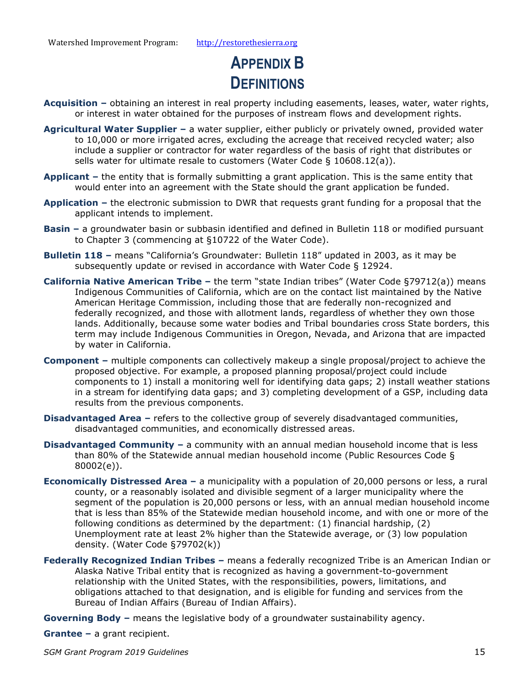# **APPENDIX B DEFINITIONS**

- <span id="page-15-0"></span>**Acquisition –** obtaining an interest in real property including easements, leases, water, water rights, or interest in water obtained for the purposes of instream flows and development rights.
- **Agricultural Water Supplier** a water supplier, either publicly or privately owned, provided water to 10,000 or more irrigated acres, excluding the acreage that received recycled water; also include a supplier or contractor for water regardless of the basis of right that distributes or sells water for ultimate resale to customers (Water Code § 10608.12(a)).
- **Applicant** the entity that is formally submitting a grant application. This is the same entity that would enter into an agreement with the State should the grant application be funded.
- **Application** the electronic submission to DWR that requests grant funding for a proposal that the applicant intends to implement.
- **Basin** a groundwater basin or subbasin identified and defined in Bulletin 118 or modified pursuant to Chapter 3 (commencing at §10722 of the Water Code).
- **Bulletin 118 –** means "California's Groundwater: Bulletin 118" updated in 2003, as it may be subsequently update or revised in accordance with Water Code § 12924.
- **California Native American Tribe** the term "state Indian tribes" (Water Code §79712(a)) means Indigenous Communities of California, which are on the contact list maintained by the Native American Heritage Commission, including those that are federally non-recognized and federally recognized, and those with allotment lands, regardless of whether they own those lands. Additionally, because some water bodies and Tribal boundaries cross State borders, this term may include Indigenous Communities in Oregon, Nevada, and Arizona that are impacted by water in California.
- **Component** multiple components can collectively makeup a single proposal/project to achieve the proposed objective. For example, a proposed planning proposal/project could include components to 1) install a monitoring well for identifying data gaps; 2) install weather stations in a stream for identifying data gaps; and 3) completing development of a GSP, including data results from the previous components.
- **Disadvantaged Area** refers to the collective group of severely disadvantaged communities, disadvantaged communities, and economically distressed areas.
- **Disadvantaged Community** a community with an annual median household income that is less than 80% of the Statewide annual median household income (Public Resources Code § 80002(e)).
- **Economically Distressed Area** a municipality with a population of 20,000 persons or less, a rural county, or a reasonably isolated and divisible segment of a larger municipality where the segment of the population is 20,000 persons or less, with an annual median household income that is less than 85% of the Statewide median household income, and with one or more of the following conditions as determined by the department: (1) financial hardship, (2) Unemployment rate at least 2% higher than the Statewide average, or (3) low population density. (Water Code §79702(k))
- **Federally Recognized Indian Tribes –** means a federally recognized Tribe is an American Indian or Alaska Native Tribal entity that is recognized as having a government-to-government relationship with the United States, with the responsibilities, powers, limitations, and obligations attached to that designation, and is eligible for funding and services from the Bureau of Indian Affairs (Bureau of Indian Affairs).

**Governing Body –** means the legislative body of a groundwater sustainability agency.

**Grantee –** a grant recipient.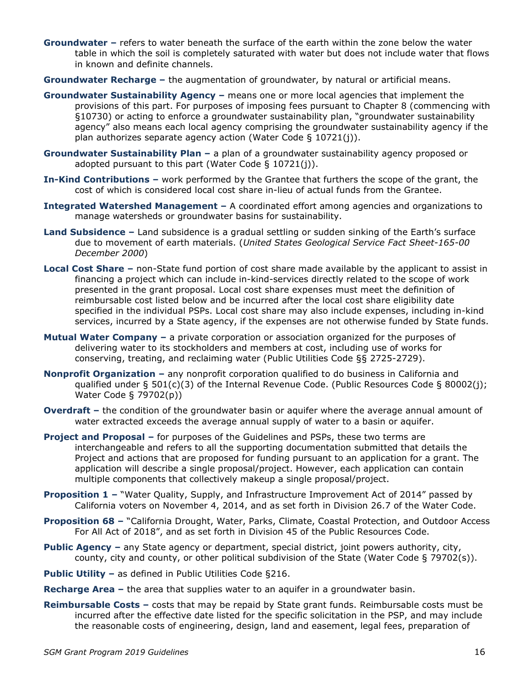- **Groundwater –** refers to water beneath the surface of the earth within the zone below the water table in which the soil is completely saturated with water but does not include water that flows in known and definite channels.
- **Groundwater Recharge –** the augmentation of groundwater, by natural or artificial means.
- **Groundwater Sustainability Agency –** means one or more local agencies that implement the provisions of this part. For purposes of imposing fees pursuant to Chapter 8 (commencing with §10730) or acting to enforce a groundwater sustainability plan, "groundwater sustainability agency" also means each local agency comprising the groundwater sustainability agency if the plan authorizes separate agency action (Water Code § 10721(j)).
- **Groundwater Sustainability Plan –** a plan of a groundwater sustainability agency proposed or adopted pursuant to this part (Water Code § 10721(j)).
- **In-Kind Contributions –** work performed by the Grantee that furthers the scope of the grant, the cost of which is considered local cost share in-lieu of actual funds from the Grantee.
- **Integrated Watershed Management –** A coordinated effort among agencies and organizations to manage watersheds or groundwater basins for sustainability.
- **Land Subsidence –** Land subsidence is a gradual settling or sudden sinking of the Earth's surface due to movement of earth materials. (*United States Geological Service Fact Sheet-165-00 December 2000*)
- **Local Cost Share –** non-State fund portion of cost share made available by the applicant to assist in financing a project which can include in-kind-services directly related to the scope of work presented in the grant proposal. Local cost share expenses must meet the definition of reimbursable cost listed below and be incurred after the local cost share eligibility date specified in the individual PSPs. Local cost share may also include expenses, including in-kind services, incurred by a State agency, if the expenses are not otherwise funded by State funds.
- **Mutual Water Company –** a private corporation or association organized for the purposes of delivering water to its stockholders and members at cost, including use of works for conserving, treating, and reclaiming water (Public Utilities Code §§ 2725-2729).
- **Nonprofit Organization –** any nonprofit corporation qualified to do business in California and qualified under § 501(c)(3) of the Internal Revenue Code. (Public Resources Code § 80002(j); Water Code § 79702(p))
- **Overdraft –** the condition of the groundwater basin or aquifer where the average annual amount of water extracted exceeds the average annual supply of water to a basin or aquifer.
- **Project and Proposal –** for purposes of the Guidelines and PSPs, these two terms are interchangeable and refers to all the supporting documentation submitted that details the Project and actions that are proposed for funding pursuant to an application for a grant. The application will describe a single proposal/project. However, each application can contain multiple components that collectively makeup a single proposal/project.
- **Proposition 1 –** "Water Quality, Supply, and Infrastructure Improvement Act of 2014" passed by California voters on November 4, 2014, and as set forth in Division 26.7 of the Water Code.
- **Proposition 68 –** "California Drought, Water, Parks, Climate, Coastal Protection, and Outdoor Access For All Act of 2018", and as set forth in Division 45 of the Public Resources Code.
- **Public Agency –** any State agency or department, special district, joint powers authority, city, county, city and county, or other political subdivision of the State (Water Code § 79702(s)).
- **Public Utility –** as defined in Public Utilities Code §216.
- **Recharge Area –** the area that supplies water to an aquifer in a groundwater basin.
- **Reimbursable Costs –** costs that may be repaid by State grant funds. Reimbursable costs must be incurred after the effective date listed for the specific solicitation in the PSP, and may include the reasonable costs of engineering, design, land and easement, legal fees, preparation of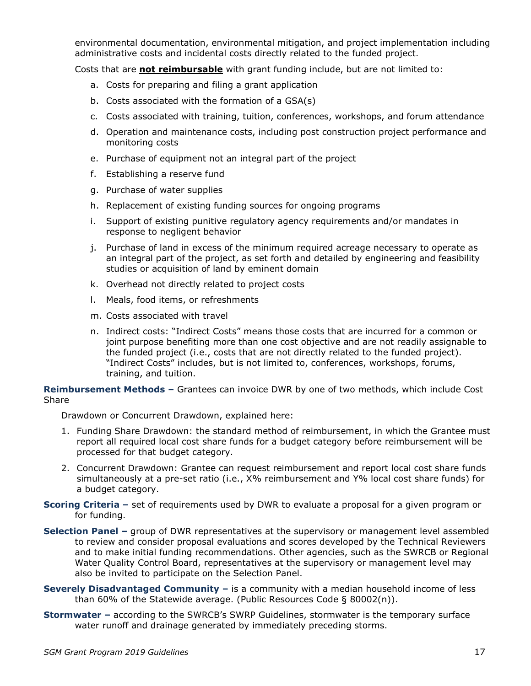environmental documentation, environmental mitigation, and project implementation including administrative costs and incidental costs directly related to the funded project.

Costs that are **not reimbursable** with grant funding include, but are not limited to:

- a. Costs for preparing and filing a grant application
- b. Costs associated with the formation of a GSA(s)
- c. Costs associated with training, tuition, conferences, workshops, and forum attendance
- d. Operation and maintenance costs, including post construction project performance and monitoring costs
- e. Purchase of equipment not an integral part of the project
- f. Establishing a reserve fund
- g. Purchase of water supplies
- h. Replacement of existing funding sources for ongoing programs
- i. Support of existing punitive regulatory agency requirements and/or mandates in response to negligent behavior
- j. Purchase of land in excess of the minimum required acreage necessary to operate as an integral part of the project, as set forth and detailed by engineering and feasibility studies or acquisition of land by eminent domain
- k. Overhead not directly related to project costs
- l. Meals, food items, or refreshments
- m. Costs associated with travel
- n. Indirect costs: "Indirect Costs" means those costs that are incurred for a common or joint purpose benefiting more than one cost objective and are not readily assignable to the funded project (i.e., costs that are not directly related to the funded project). "Indirect Costs" includes, but is not limited to, conferences, workshops, forums, training, and tuition.

**Reimbursement Methods –** Grantees can invoice DWR by one of two methods, which include Cost Share

Drawdown or Concurrent Drawdown, explained here:

- 1. Funding Share Drawdown: the standard method of reimbursement, in which the Grantee must report all required local cost share funds for a budget category before reimbursement will be processed for that budget category.
- 2. Concurrent Drawdown: Grantee can request reimbursement and report local cost share funds simultaneously at a pre-set ratio (i.e., X% reimbursement and Y% local cost share funds) for a budget category.
- **Scoring Criteria –** set of requirements used by DWR to evaluate a proposal for a given program or for funding.
- **Selection Panel –** group of DWR representatives at the supervisory or management level assembled to review and consider proposal evaluations and scores developed by the Technical Reviewers and to make initial funding recommendations. Other agencies, such as the SWRCB or Regional Water Quality Control Board, representatives at the supervisory or management level may also be invited to participate on the Selection Panel.
- **Severely Disadvantaged Community –** is a community with a median household income of less than 60% of the Statewide average. (Public Resources Code § 80002(n)).
- **Stormwater –** according to the SWRCB's SWRP Guidelines, stormwater is the temporary surface water runoff and drainage generated by immediately preceding storms.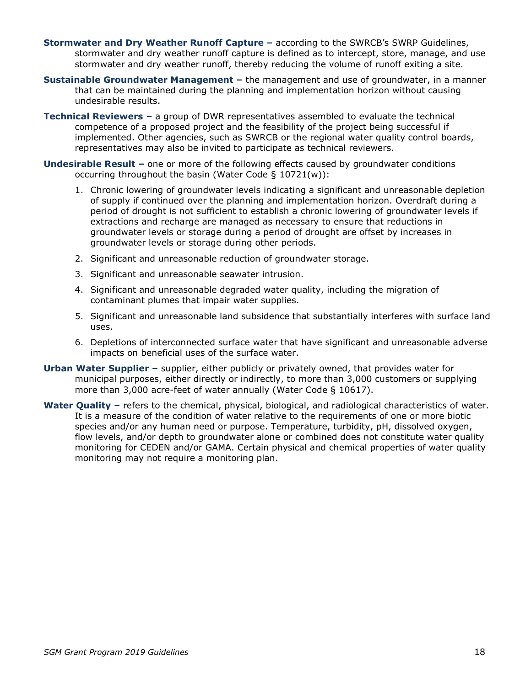- **Stormwater and Dry Weather Runoff Capture** according to the SWRCB's SWRP Guidelines, stormwater and dry weather runoff capture is defined as to intercept, store, manage, and use stormwater and dry weather runoff, thereby reducing the volume of runoff exiting a site.
- **Sustainable Groundwater Management –** the management and use of groundwater, in a manner that can be maintained during the planning and implementation horizon without causing undesirable results.
- **Technical Reviewers** a group of DWR representatives assembled to evaluate the technical competence of a proposed project and the feasibility of the project being successful if implemented. Other agencies, such as SWRCB or the regional water quality control boards, representatives may also be invited to participate as technical reviewers.
- **Undesirable Result** one or more of the following effects caused by groundwater conditions occurring throughout the basin (Water Code § 10721(w)):
	- 1. Chronic lowering of groundwater levels indicating a significant and unreasonable depletion of supply if continued over the planning and implementation horizon. Overdraft during a period of drought is not sufficient to establish a chronic lowering of groundwater levels if extractions and recharge are managed as necessary to ensure that reductions in groundwater levels or storage during a period of drought are offset by increases in groundwater levels or storage during other periods.
	- 2. Significant and unreasonable reduction of groundwater storage.
	- 3. Significant and unreasonable seawater intrusion.
	- 4. Significant and unreasonable degraded water quality, including the migration of contaminant plumes that impair water supplies.
	- 5. Significant and unreasonable land subsidence that substantially interferes with surface land uses.
	- 6. Depletions of interconnected surface water that have significant and unreasonable adverse impacts on beneficial uses of the surface water.
- **Urban Water Supplier** supplier, either publicly or privately owned, that provides water for municipal purposes, either directly or indirectly, to more than 3,000 customers or supplying more than 3,000 acre-feet of water annually (Water Code § 10617).
- <span id="page-18-0"></span>Water Quality – refers to the chemical, physical, biological, and radiological characteristics of water. It is a measure of the condition of water relative to the requirements of one or more biotic species and/or any human need or purpose. Temperature, turbidity, pH, dissolved oxygen, flow levels, and/or depth to groundwater alone or combined does not constitute water quality monitoring for CEDEN and/or GAMA. Certain physical and chemical properties of water quality monitoring may not require a monitoring plan.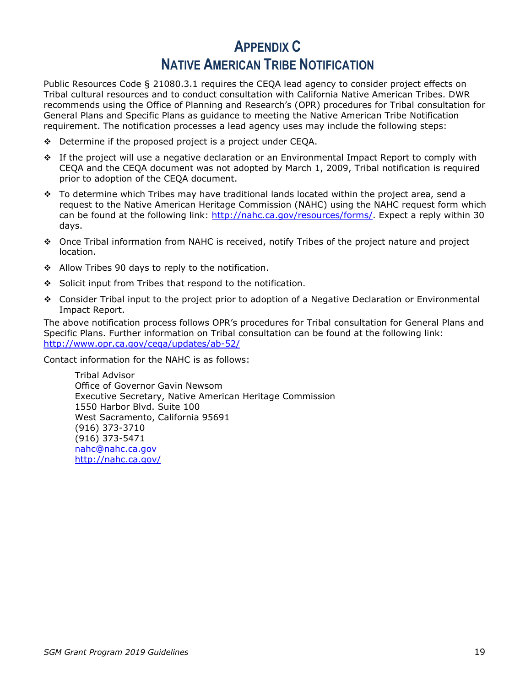# **APPENDIX C NATIVE AMERICAN TRIBE NOTIFICATION**

<span id="page-19-0"></span>Public Resources Code § 21080.3.1 requires the CEQA lead agency to consider project effects on Tribal cultural resources and to conduct consultation with California Native American Tribes. DWR recommends using the Office of Planning and Research's (OPR) procedures for Tribal consultation for General Plans and Specific Plans as guidance to meeting the Native American Tribe Notification requirement. The notification processes a lead agency uses may include the following steps:

- $\div$  Determine if the proposed project is a project under CEQA.
- $\div$  If the project will use a negative declaration or an Environmental Impact Report to comply with CEQA and the CEQA document was not adopted by March 1, 2009, Tribal notification is required prior to adoption of the CEQA document.
- $\div$  To determine which Tribes may have traditional lands located within the project area, send a request to the Native American Heritage Commission (NAHC) using the NAHC request form which can be found at the following link: [http://nahc.ca.gov/resources/forms/.](http://nahc.ca.gov/resources/forms/) Expect a reply within 30 days.
- Once Tribal information from NAHC is received, notify Tribes of the project nature and project location.
- $\div$  Allow Tribes 90 days to reply to the notification.
- $\div$  Solicit input from Tribes that respond to the notification.
- Consider Tribal input to the project prior to adoption of a Negative Declaration or Environmental Impact Report.

The above notification process follows OPR's procedures for Tribal consultation for General Plans and Specific Plans. Further information on Tribal consultation can be found at the following link: <http://www.opr.ca.gov/ceqa/updates/ab-52/>

Contact information for the NAHC is as follows:

Tribal Advisor Office of Governor Gavin Newsom Executive Secretary, Native American Heritage Commission 1550 Harbor Blvd. Suite 100 West Sacramento, California 95691 (916) 373-3710 (916) 373-5471 [nahc@nahc.ca.gov](https://mail.ces.ca.gov/owa/redir.aspx?C=ZuCemDZq4EmcgnlBX8lnJOENTa0ySNEIGS6x7YPBmRoYerOVdVyJzd7UZmXD-Wt61Z-it5njelU.&URL=mailto%3anahc%40nahc.ca.gov) <http://nahc.ca.gov/>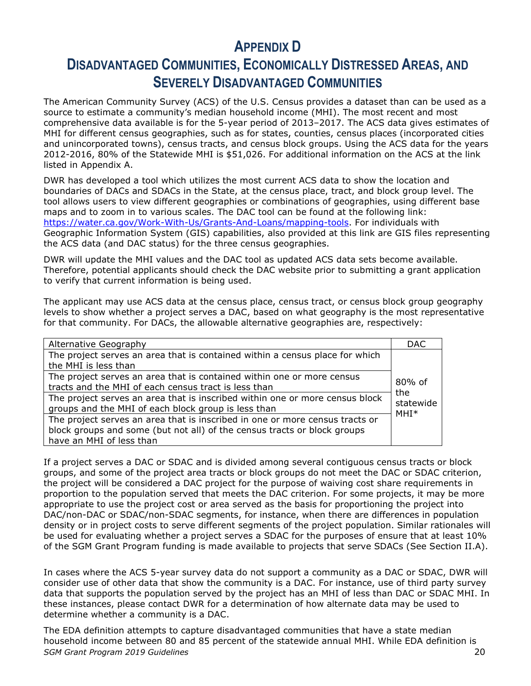# **APPENDIX D**

# <span id="page-20-0"></span>**DISADVANTAGED COMMUNITIES, ECONOMICALLY DISTRESSED AREAS, AND SEVERELY DISADVANTAGED COMMUNITIES**

The American Community Survey (ACS) of the U.S. Census provides a dataset than can be used as a source to estimate a community's median household income (MHI). The most recent and most comprehensive data available is for the 5-year period of 2013–2017. The ACS data gives estimates of MHI for different census geographies, such as for states, counties, census places (incorporated cities and unincorporated towns), census tracts, and census block groups. Using the ACS data for the years 2012-2016, 80% of the Statewide MHI is \$51,026. For additional information on the ACS at the link listed in Appendix A.

DWR has developed a tool which utilizes the most current ACS data to show the location and boundaries of DACs and SDACs in the State, at the census place, tract, and block group level. The tool allows users to view different geographies or combinations of geographies, using different base maps and to zoom in to various scales. The DAC tool can be found at the following link: [https://water.ca.gov/Work-With-Us/Grants-And-Loans/mapping-tools.](https://water.ca.gov/Work-With-Us/Grants-And-Loans/mapping-tools) For individuals with Geographic Information System (GIS) capabilities, also provided at this link are GIS files representing the ACS data (and DAC status) for the three census geographies.

DWR will update the MHI values and the DAC tool as updated ACS data sets become available. Therefore, potential applicants should check the DAC website prior to submitting a grant application to verify that current information is being used.

The applicant may use ACS data at the census place, census tract, or census block group geography levels to show whether a project serves a DAC, based on what geography is the most representative for that community. For DACs, the allowable alternative geographies are, respectively:

| Alternative Geography                                                                                                                                                                | <b>DAC</b> |
|--------------------------------------------------------------------------------------------------------------------------------------------------------------------------------------|------------|
| The project serves an area that is contained within a census place for which<br>the MHI is less than                                                                                 |            |
| The project serves an area that is contained within one or more census<br>tracts and the MHI of each census tract is less than                                                       |            |
| The project serves an area that is inscribed within one or more census block<br>groups and the MHI of each block group is less than                                                  |            |
| The project serves an area that is inscribed in one or more census tracts or<br>block groups and some (but not all) of the census tracts or block groups<br>have an MHI of less than |            |

If a project serves a DAC or SDAC and is divided among several contiguous census tracts or block groups, and some of the project area tracts or block groups do not meet the DAC or SDAC criterion, the project will be considered a DAC project for the purpose of waiving cost share requirements in proportion to the population served that meets the DAC criterion. For some projects, it may be more appropriate to use the project cost or area served as the basis for proportioning the project into DAC/non-DAC or SDAC/non-SDAC segments, for instance, when there are differences in population density or in project costs to serve different segments of the project population. Similar rationales will be used for evaluating whether a project serves a SDAC for the purposes of ensure that at least 10% of the SGM Grant Program funding is made available to projects that serve SDACs (See Section II.A).

In cases where the ACS 5-year survey data do not support a community as a DAC or SDAC, DWR will consider use of other data that show the community is a DAC. For instance, use of third party survey data that supports the population served by the project has an MHI of less than DAC or SDAC MHI. In these instances, please contact DWR for a determination of how alternate data may be used to determine whether a community is a DAC.

*SGM Grant Program 2019 Guidelines* 20 The EDA definition attempts to capture disadvantaged communities that have a state median household income between 80 and 85 percent of the statewide annual MHI. While EDA definition is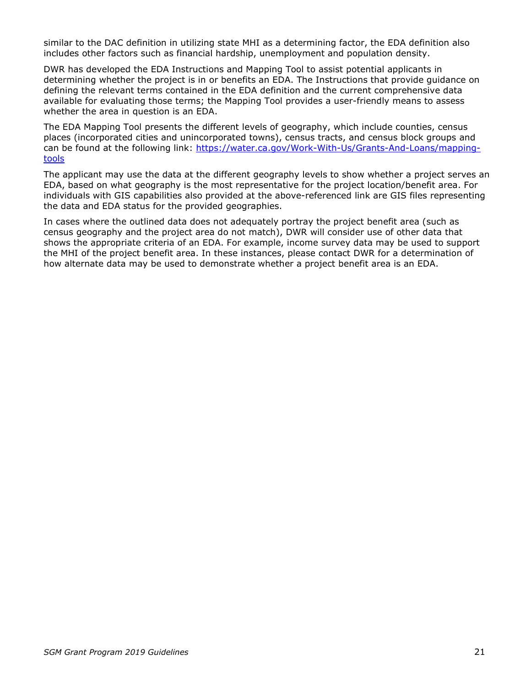similar to the DAC definition in utilizing state MHI as a determining factor, the EDA definition also includes other factors such as financial hardship, unemployment and population density.

DWR has developed the EDA Instructions and Mapping Tool to assist potential applicants in determining whether the project is in or benefits an EDA. The Instructions that provide guidance on defining the relevant terms contained in the EDA definition and the current comprehensive data available for evaluating those terms; the Mapping Tool provides a user-friendly means to assess whether the area in question is an EDA.

The EDA Mapping Tool presents the different levels of geography, which include counties, census places (incorporated cities and unincorporated towns), census tracts, and census block groups and can be found at the following link: [https://water.ca.gov/Work-With-Us/Grants-And-Loans/mapping](https://water.ca.gov/Work-With-Us/Grants-And-Loans/mapping-tools)[tools](https://water.ca.gov/Work-With-Us/Grants-And-Loans/mapping-tools)

The applicant may use the data at the different geography levels to show whether a project serves an EDA, based on what geography is the most representative for the project location/benefit area. For individuals with GIS capabilities also provided at the above-referenced link are GIS files representing the data and EDA status for the provided geographies.

In cases where the outlined data does not adequately portray the project benefit area (such as census geography and the project area do not match), DWR will consider use of other data that shows the appropriate criteria of an EDA. For example, income survey data may be used to support the MHI of the project benefit area. In these instances, please contact DWR for a determination of how alternate data may be used to demonstrate whether a project benefit area is an EDA.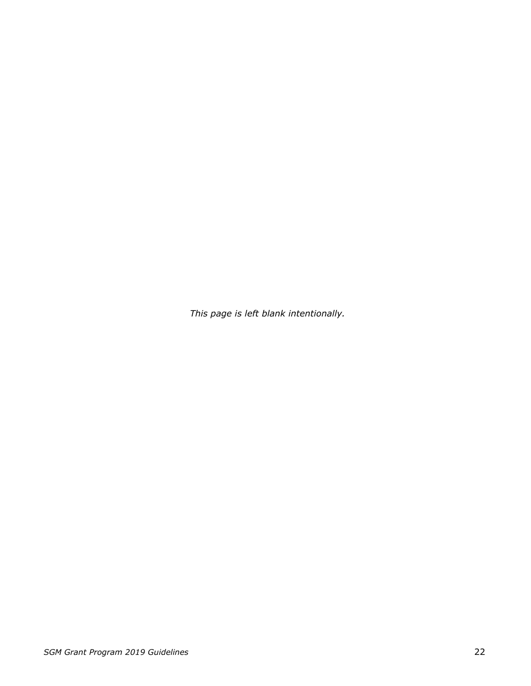*This page is left blank intentionally.*